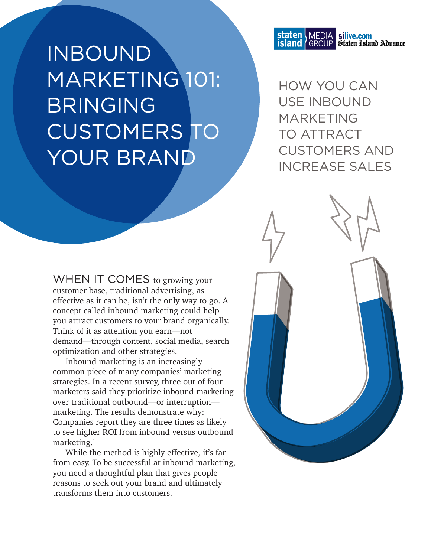INBOUND MARKETING 101: BRINGING CUSTOMERS TO YOUR BRAND

staten MEDIA silive.com<br>island GROUP Staten Island Advance

HOW YOU CAN USE INBOUND MARKETING TO ATTRACT CUSTOMERS AND INCREASE SALES

WHEN IT COMES to growing your customer base, traditional advertising, as effective as it can be, isn't the only way to go. A concept called inbound marketing could help you attract customers to your brand organically. Think of it as attention you earn—not demand—through content, social media, search optimization and other strategies.

Inbound marketing is an increasingly common piece of many companies' marketing strategies. In a recent survey, three out of four marketers said they prioritize inbound marketing over traditional outbound—or interruption marketing. The results demonstrate why: Companies report they are three times as likely to see higher ROI from inbound versus outbound marketing. $1$ 

While the method is highly effective, it's far from easy. To be successful at inbound marketing, you need a thoughtful plan that gives people reasons to seek out your brand and ultimately transforms them into customers.

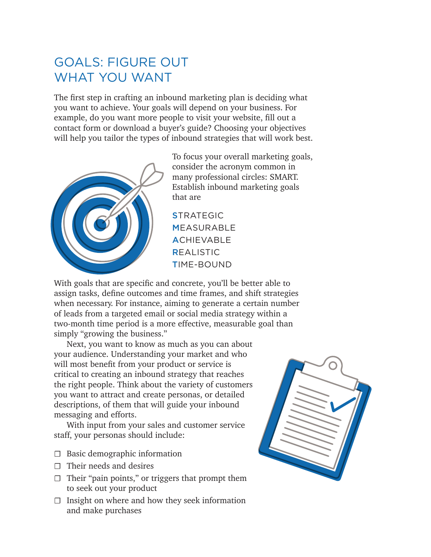# GOALS: FIGURE OUT WHAT YOU WANT

The first step in crafting an inbound marketing plan is deciding what you want to achieve. Your goals will depend on your business. For example, do you want more people to visit your website, fill out a contact form or download a buyer's guide? Choosing your objectives will help you tailor the types of inbound strategies that will work best.



To focus your overall marketing goals, consider the acronym common in many professional circles: SMART. Establish inbound marketing goals that are

**STRATEGIC** MEASURABLE **ACHIEVABLE** REALISTIC TIME-BOUND

With goals that are specific and concrete, you'll be better able to assign tasks, define outcomes and time frames, and shift strategies when necessary. For instance, aiming to generate a certain number of leads from a targeted email or social media strategy within a two-month time period is a more effective, measurable goal than simply "growing the business."

Next, you want to know as much as you can about your audience. Understanding your market and who will most benefit from your product or service is critical to creating an inbound strategy that reaches the right people. Think about the variety of customers you want to attract and create personas, or detailed descriptions, of them that will guide your inbound messaging and efforts.

With input from your sales and customer service staff, your personas should include:

- $\Box$  Basic demographic information
- $\Box$  Their needs and desires
- $\Box$  Their "pain points," or triggers that prompt them to seek out your product
- $\Box$  Insight on where and how they seek information and make purchases

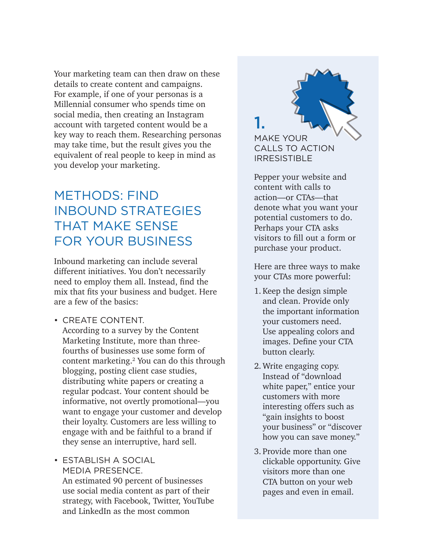Your marketing team can then draw on these details to create content and campaigns. For example, if one of your personas is a Millennial consumer who spends time on social media, then creating an Instagram account with targeted content would be a key way to reach them. Researching personas may take time, but the result gives you the equivalent of real people to keep in mind as you develop your marketing.

# METHODS: FIND INBOUND STRATEGIES THAT MAKE SENSE FOR YOUR BUSINESS

Inbound marketing can include several different initiatives. You don't necessarily need to employ them all. Instead, find the mix that fits your business and budget. Here are a few of the basics:

• CREATE CONTENT. According to a survey by the Content Marketing Institute, more than threefourths of businesses use some form of content marketing.2 You can do this through blogging, posting client case studies, distributing white papers or creating a regular podcast. Your content should be informative, not overtly promotional—you want to engage your customer and develop their loyalty. Customers are less willing to engage with and be faithful to a brand if they sense an interruptive, hard sell.

• ESTABLISH A SOCIAL MEDIA PRESENCE. An estimated 90 percent of businesses use social media content as part of their strategy, with Facebook, Twitter, YouTube and LinkedIn as the most common

MAKE YOUR CALLS TO ACTION IRRESISTIBLE 1.

Pepper your website and content with calls to action—or CTAs—that denote what you want your potential customers to do. Perhaps your CTA asks visitors to fill out a form or purchase your product.

Here are three ways to make your CTAs more powerful:

- 1. Keep the design simple and clean. Provide only the important information your customers need. Use appealing colors and images. Define your CTA button clearly.
- 2. Write engaging copy. Instead of "download white paper," entice your customers with more interesting offers such as "gain insights to boost your business" or "discover how you can save money."
- 3. Provide more than one clickable opportunity. Give visitors more than one CTA button on your web pages and even in email.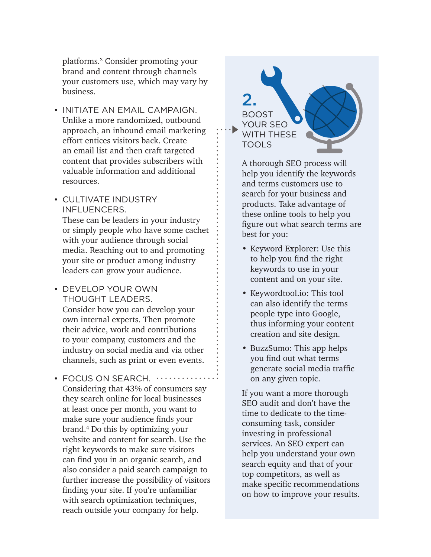platforms.3 Consider promoting your brand and content through channels your customers use, which may vary by business.

- INITIATE AN EMAIL CAMPAIGN. Unlike a more randomized, outbound approach, an inbound email marketing effort entices visitors back. Create an email list and then craft targeted content that provides subscribers with valuable information and additional resources.
- CULTIVATE INDUSTRY INFLUENCERS.

These can be leaders in your industry or simply people who have some cachet with your audience through social media. Reaching out to and promoting your site or product among industry leaders can grow your audience.

- DEVELOP YOUR OWN THOUGHT LEADERS. Consider how you can develop your own internal experts. Then promote their advice, work and contributions to your company, customers and the industry on social media and via other channels, such as print or even events.
- FOCUS ON SEARCH.  $\cdots$ Considering that 43% of consumers say they search online for local businesses at least once per month, you want to make sure your audience finds your brand.4 Do this by optimizing your website and content for search. Use the right keywords to make sure visitors can find you in an organic search, and also consider a paid search campaign to further increase the possibility of visitors finding your site. If you're unfamiliar with search optimization techniques, reach outside your company for help.

BOOST YOUR SEO WITH THESE TOOLS 2.

A thorough SEO process will help you identify the keywords and terms customers use to search for your business and products. Take advantage of these online tools to help you figure out what search terms are best for you:

- Keyword Explorer: Use this to help you find the right keywords to use in your content and on your site.
- Keywordtool.io: This tool can also identify the terms people type into Google, thus informing your content creation and site design.
- BuzzSumo: This app helps you find out what terms generate social media traffic on any given topic.

If you want a more thorough SEO audit and don't have the time to dedicate to the timeconsuming task, consider investing in professional services. An SEO expert can help you understand your own search equity and that of your top competitors, as well as make specific recommendations on how to improve your results.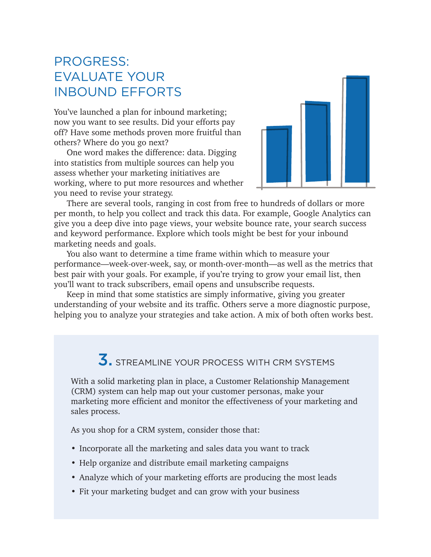### PROGRESS: EVALUATE YOUR INBOUND EFFORTS

You've launched a plan for inbound marketing; now you want to see results. Did your efforts pay off? Have some methods proven more fruitful than others? Where do you go next?

One word makes the difference: data. Digging into statistics from multiple sources can help you assess whether your marketing initiatives are working, where to put more resources and whether you need to revise your strategy.



There are several tools, ranging in cost from free to hundreds of dollars or more per month, to help you collect and track this data. For example, Google Analytics can give you a deep dive into page views, your website bounce rate, your search success and keyword performance. Explore which tools might be best for your inbound marketing needs and goals.

You also want to determine a time frame within which to measure your performance—week-over-week, say, or month-over-month—as well as the metrics that best pair with your goals. For example, if you're trying to grow your email list, then you'll want to track subscribers, email opens and unsubscribe requests.

Keep in mind that some statistics are simply informative, giving you greater understanding of your website and its traffic. Others serve a more diagnostic purpose, helping you to analyze your strategies and take action. A mix of both often works best.

# **3.** STREAMLINE YOUR PROCESS WITH CRM SYSTEMS

With a solid marketing plan in place, a Customer Relationship Management (CRM) system can help map out your customer personas, make your marketing more efficient and monitor the effectiveness of your marketing and sales process.

As you shop for a CRM system, consider those that:

- Incorporate all the marketing and sales data you want to track
- Help organize and distribute email marketing campaigns
- Analyze which of your marketing efforts are producing the most leads
- Fit your marketing budget and can grow with your business